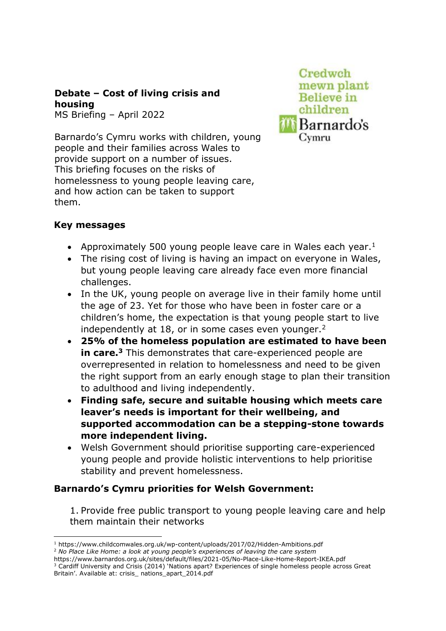# **Debate – Cost of living crisis and housing**

MS Briefing – April 2022  

Barnardo's Cymru works with children, young people and their families across Wales to provide support on a number of issues. This briefing focuses on the risks of homelessness to young people leaving care, and how action can be taken to support them.



### **Key messages**

- Approximately 500 young people leave care in Wales each year.<sup>1</sup>
- The rising cost of living is having an impact on everyone in Wales, but young people leaving care already face even more financial challenges.
- In the UK, young people on average live in their family home until the age of 23. Yet for those who have been in foster care or a children's home, the expectation is that young people start to live independently at 18, or in some cases even younger. $<sup>2</sup>$ </sup>
- **25% of the homeless population are estimated to have been in care.<sup>3</sup>** This demonstrates that care-experienced people are overrepresented in relation to homelessness and need to be given the right support from an early enough stage to plan their transition to adulthood and living independently.
- **Finding safe, secure and suitable housing which meets care leaver's needs is important for their wellbeing, and supported accommodation can be a stepping-stone towards more independent living.**
- Welsh Government should prioritise supporting care-experienced young people and provide holistic interventions to help prioritise stability and prevent homelessness.

## **Barnardo's Cymru priorities for Welsh Government:**

1. Provide free public transport to young people leaving care and help them maintain their networks

<sup>1</sup> https://www.childcomwales.org.uk/wp-content/uploads/2017/02/Hidden-Ambitions.pdf

<sup>2</sup> *No Place Like Home: a look at young people's experiences of leaving the care system*  https://www.barnardos.org.uk/sites/default/files/2021-05/No-Place-Like-Home-Report-IKEA.pdf

<sup>&</sup>lt;sup>3</sup> Cardiff University and Crisis (2014) 'Nations apart? Experiences of single homeless people across Great Britain'. Available at: crisis\_ nations\_apart\_2014.pdf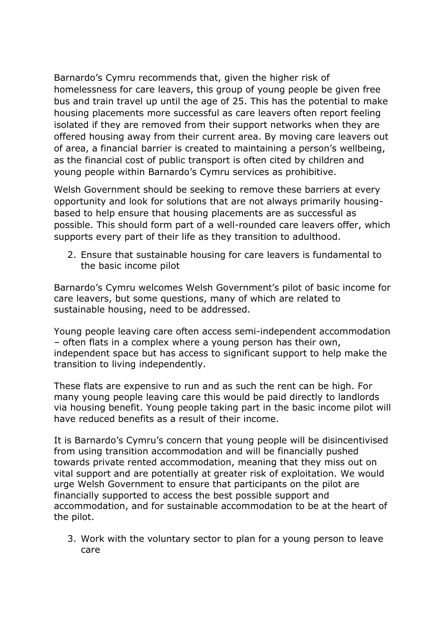Barnardo's Cymru recommends that, given the higher risk of homelessness for care leavers, this group of young people be given free bus and train travel up until the age of 25. This has the potential to make housing placements more successful as care leavers often report feeling isolated if they are removed from their support networks when they are offered housing away from their current area. By moving care leavers out of area, a financial barrier is created to maintaining a person's wellbeing, as the financial cost of public transport is often cited by children and young people within Barnardo's Cymru services as prohibitive.

Welsh Government should be seeking to remove these barriers at every opportunity and look for solutions that are not always primarily housingbased to help ensure that housing placements are as successful as possible. This should form part of a well-rounded care leavers offer, which supports every part of their life as they transition to adulthood.

2. Ensure that sustainable housing for care leavers is fundamental to the basic income pilot

Barnardo's Cymru welcomes Welsh Government's pilot of basic income for care leavers, but some questions, many of which are related to sustainable housing, need to be addressed.

Young people leaving care often access semi-independent accommodation – often flats in a complex where a young person has their own, independent space but has access to significant support to help make the transition to living independently.

These flats are expensive to run and as such the rent can be high. For many young people leaving care this would be paid directly to landlords via housing benefit. Young people taking part in the basic income pilot will have reduced benefits as a result of their income.

It is Barnardo's Cymru's concern that young people will be disincentivised from using transition accommodation and will be financially pushed towards private rented accommodation, meaning that they miss out on vital support and are potentially at greater risk of exploitation. We would urge Welsh Government to ensure that participants on the pilot are financially supported to access the best possible support and accommodation, and for sustainable accommodation to be at the heart of the pilot.

3. Work with the voluntary sector to plan for a young person to leave care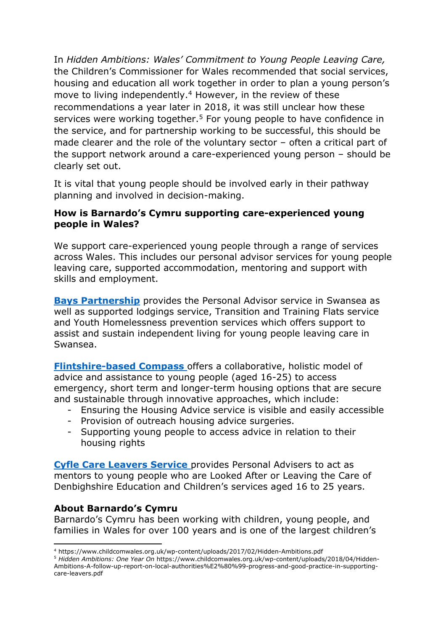In *Hidden Ambitions: Wales' Commitment to Young People Leaving Care,*  the Children's Commissioner for Wales recommended that social services, housing and education all work together in order to plan a young person's move to living independently.<sup>4</sup> However, in the review of these recommendations a year later in 2018, it was still unclear how these services were working together.<sup>5</sup> For young people to have confidence in the service, and for partnership working to be successful, this should be made clearer and the role of the voluntary sector – often a critical part of the support network around a care-experienced young person – should be clearly set out.

It is vital that young people should be involved early in their pathway planning and involved in decision-making.

#### **How is Barnardo's Cymru supporting care-experienced young people in Wales?**

We support care-experienced young people through a range of services across Wales. This includes our personal advisor services for young people leaving care, supported accommodation, mentoring and support with skills and employment.

**[Bays Partnership](https://www.barnardos.org.uk/what-we-do/services/bays-leaving-care-service)** provides the Personal Advisor service in Swansea as well as supported lodgings service, Transition and Training Flats service and Youth Homelessness prevention services which offers support to assist and sustain independent living for young people leaving care in Swansea.

**[Flintshire-based Compass](https://www.barnardos.org.uk/what-we-do/services/compass-housing-advice-service)** offers a collaborative, holistic model of advice and assistance to young people (aged 16-25) to access emergency, short term and longer-term housing options that are secure and sustainable through innovative approaches, which include:

- Ensuring the Housing Advice service is visible and easily accessible
- Provision of outreach housing advice surgeries.
- Supporting young people to access advice in relation to their housing rights

**[Cyfle Care Leavers Service](https://www.barnardos.org.uk/what-we-do/services/cyfle-care-leavers-service)** provides Personal Advisers to act as mentors to young people who are Looked After or Leaving the Care of Denbighshire Education and Children's services aged 16 to 25 years.

### **About Barnardo's Cymru**

Barnardo's Cymru has been working with children, young people, and families in Wales for over 100 years and is one of the largest children's

<sup>4</sup> https://www.childcomwales.org.uk/wp-content/uploads/2017/02/Hidden-Ambitions.pdf

<sup>5</sup> *Hidden Ambitions: One Year On* https://www.childcomwales.org.uk/wp-content/uploads/2018/04/Hidden-Ambitions-A-follow-up-report-on-local-authorities%E2%80%99-progress-and-good-practice-in-supportingcare-leavers.pdf